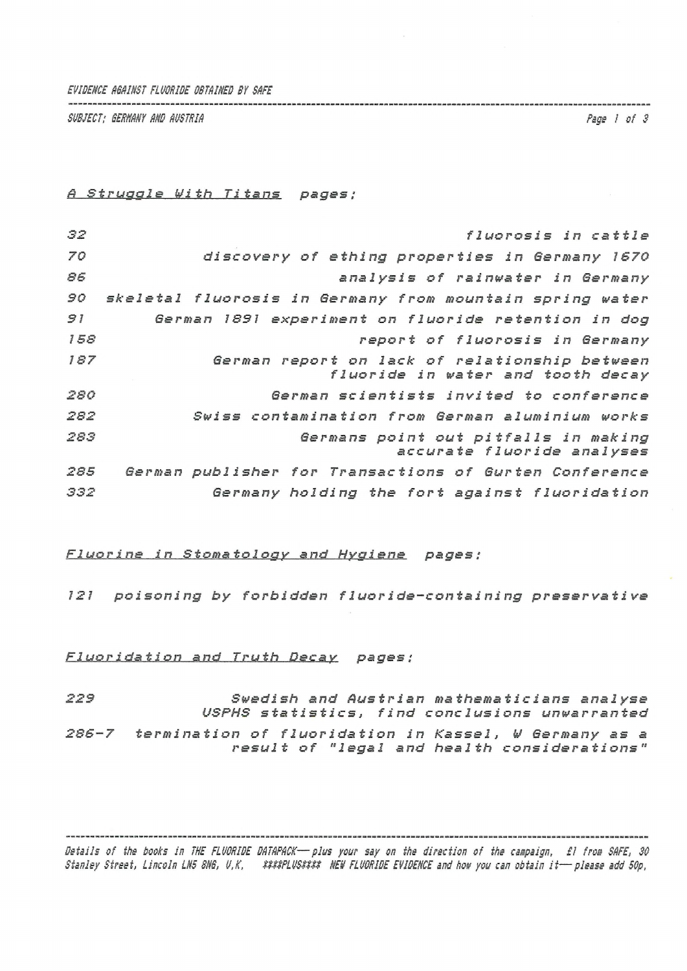*EVIDENCE AGAINST FLUORIDE OBTAINED BT SAFE*

*SUBJECT; BERNANT AND AUSTRIA Fags I of 3*

## *fl Struggle With Titans pages;*

| 32  | fluorosis in cattle                                                |
|-----|--------------------------------------------------------------------|
| 70  | discovery of ething properties in Germany 1670                     |
| 86  | analysis of rainwater in Germany                                   |
| 90  | skeletal fluorosis in Germany from mountain spring water           |
| 91  | German 1891 experiment on fluoride retention in dog                |
| 158 | report of fluorosis in Germany                                     |
| 187 | German report on lack of relationship between                      |
|     | fluoride in water and tooth decay                                  |
| 280 | German scientists invited to conference                            |
| 282 | Swiss contamination from German aluminium works                    |
| 283 | Germans point out pitfalls in making<br>accurate fluoride analyses |
| 285 | German publisher for Transactions of Gurten Conference             |
| 332 | Germany holding the fort against fluoridation                      |

## *Fluorine in Stomatology and Hygiene pages ;*

*<sup>121</sup> poisoning by forbidden flueride-containing preservative*

## *Fluoridation and Truth Decay pages ;*

*223 Swedish and Austrian mathematicians analyse USPHS statistics, find conclusions unwarranted*

*286-7 termination of fluoridation in Kassel, <sup>W</sup> Germany as <sup>a</sup> result of "legal and health considerations"*

Details of the books in THE FLUORIDE DATAPACK-plus your say on the direction of the campaign, £1 from SAFE, 30 Ctanion Cteast linesin INF RNG ILK 8888PLUC8888 NEW FINDRIDE FUIDENCE and how you can obtain it - plases add FOR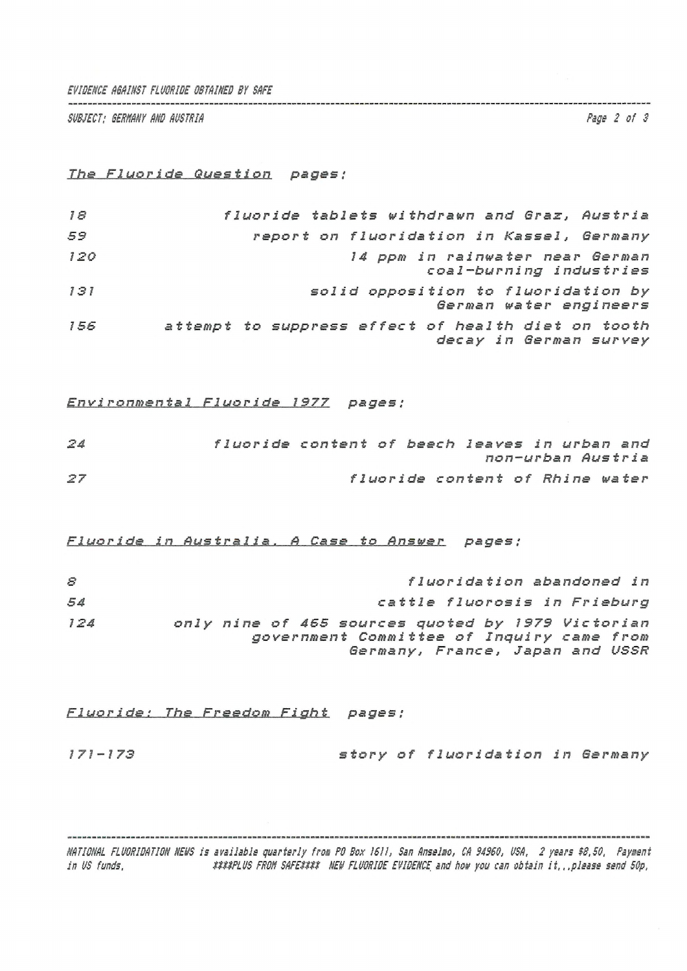*EVIDENCE FLUORIDE OBTAINED Bï SAFE*

*SUBJECT: SERNANY AND AUSTRIA Page 2 of 3*

*Ths Fl uo r <sup>1</sup> Question pages ;*

| 18  | fluoride tablets withdrawn and Graz, Austria                                 |
|-----|------------------------------------------------------------------------------|
| 59  | report on fluoridation in Kassel, Germany                                    |
| 120 | 14 ppm in rainwater near German<br>coal-burning industries                   |
| 131 | solid opposition to fluoridation by<br>German water engineers                |
| 156 | attempt to suppress effect of health diet on tooth<br>decay in German survey |

*Environmental Fluoride 1377 pages ;*

| 24 | fluoride content of beech leaves in urban and |  |                                 |  |                   |  |
|----|-----------------------------------------------|--|---------------------------------|--|-------------------|--|
|    |                                               |  |                                 |  | non-urban Austria |  |
| 27 |                                               |  | fluoride content of Rhine water |  |                   |  |

*Fluorj.d.e in Austral .1 a , ...A . s\*\_\_t.P An\_sw\_e^r pages ;*

| 8   | fluoridation abandoned in                                                                                                         |
|-----|-----------------------------------------------------------------------------------------------------------------------------------|
| 54  | cattle fluorosis in Frieburg                                                                                                      |
| 124 | only nine of 465 sources quoted by 1979 Victorian<br>government Committee of Inquiry came from<br>Germany, France, Japan and USSR |

*Fluoride: The Freedom Fight pages ;*

*171-173 story of fluoridation in Germany*

NATIONAL FLUORIDATION NEWS is available quarterly from PO Box 1611, San Anselmo, CA 94960, USA, 2 years \$8,50, Payment<br>in US funde – alsoe a serverlus conv seccritic NEW Cluberne EUIDENCE and how you can obtain it. Alsoes